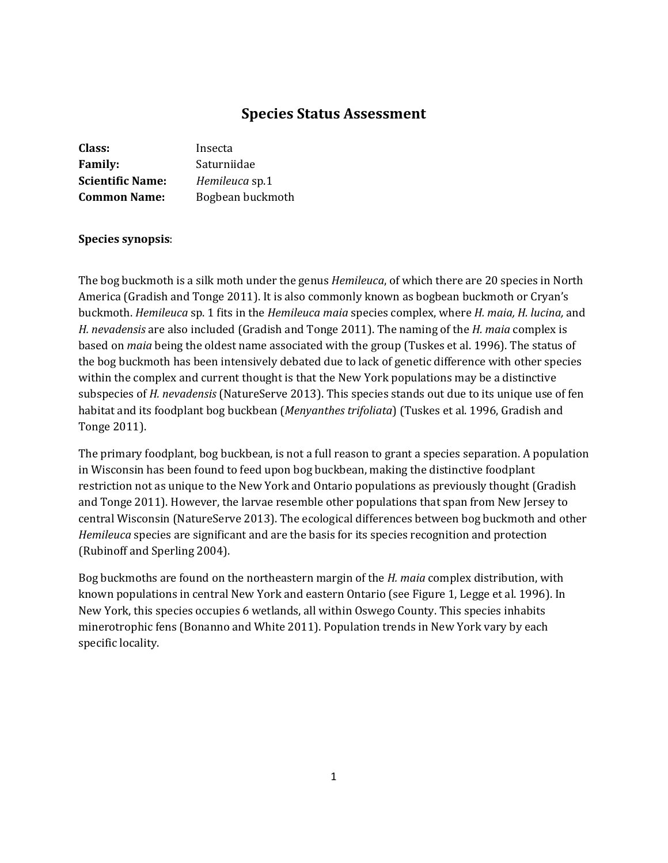# **Species Status Assessment**

| Class:                  | Insecta          |
|-------------------------|------------------|
| <b>Family:</b>          | Saturniidae      |
| <b>Scientific Name:</b> | Hemileuca sp.1   |
| <b>Common Name:</b>     | Bogbean buckmoth |

# **Species synopsis**:

The bog buckmoth is a silk moth under the genus *Hemileuca*, of which there are 20 species in North America (Gradish and Tonge 2011). It is also commonly known as bogbean buckmoth or Cryan's buckmoth. *Hemileuca* sp. 1 fits in the *Hemileuca maia* species complex, where *H. maia, H. lucina,* and *H. nevadensis* are also included (Gradish and Tonge 2011). The naming of the *H. maia* complex is based on *maia* being the oldest name associated with the group (Tuskes et al. 1996). The status of the bog buckmoth has been intensively debated due to lack of genetic difference with other species within the complex and current thought is that the New York populations may be a distinctive subspecies of *H. nevadensis* (NatureServe 2013). This species stands out due to its unique use of fen habitat and its foodplant bog buckbean (*Menyanthes trifoliata*) (Tuskes et al. 1996, Gradish and Tonge 2011).

The primary foodplant, bog buckbean, is not a full reason to grant a species separation. A population in Wisconsin has been found to feed upon bog buckbean, making the distinctive foodplant restriction not as unique to the New York and Ontario populations as previously thought (Gradish and Tonge 2011). However, the larvae resemble other populations that span from New Jersey to central Wisconsin (NatureServe 2013). The ecological differences between bog buckmoth and other *Hemileuca* species are significant and are the basis for its species recognition and protection (Rubinoff and Sperling 2004).

Bog buckmoths are found on the northeastern margin of the *H. maia* complex distribution, with known populations in central New York and eastern Ontario (see Figure 1, Legge et al. 1996). In New York, this species occupies 6 wetlands, all within Oswego County. This species inhabits minerotrophic fens (Bonanno and White 2011). Population trends in New York vary by each specific locality.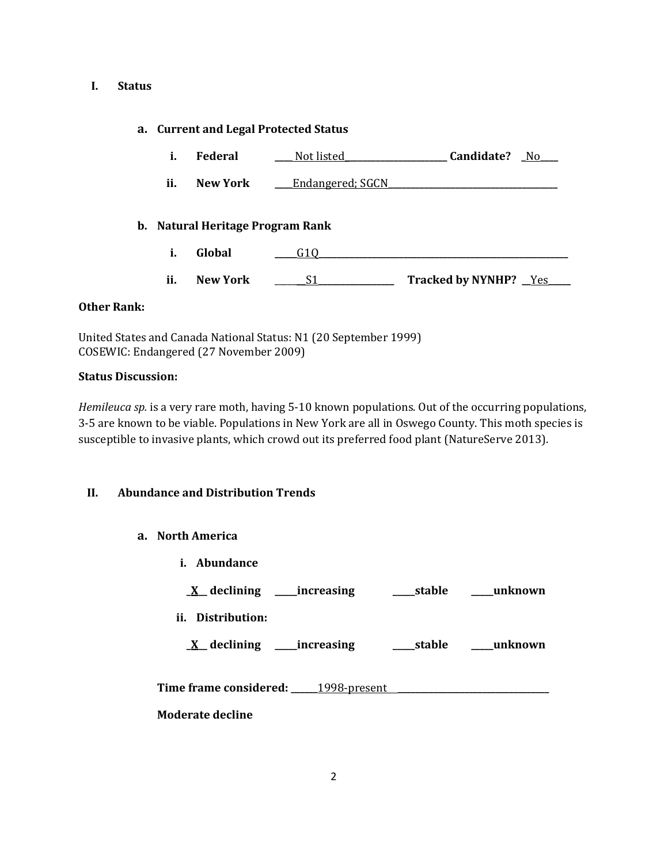#### **I. Status**

## **a. Current and Legal Protected Status**

- **i. Federal \_\_\_\_** Not listed**\_\_\_\_\_\_\_\_\_\_\_\_\_\_\_\_\_\_\_\_\_\_\_ Candidate? \_**No**\_\_\_\_**
- **ii. New York Lear Endangered**; SGCN

## **b. Natural Heritage Program Rank**

- **i. Global \_\_\_\_\_**G1Q**\_\_\_\_\_\_\_\_\_\_\_\_\_\_\_\_\_\_\_\_\_\_\_\_\_\_\_\_\_\_\_\_\_\_\_\_\_\_\_\_\_\_\_\_\_\_\_\_\_\_\_\_\_\_\_\_**
- **ii. New York** \_\_\_\_\_\_\_S1**\_\_\_\_\_\_\_\_\_\_\_\_\_\_\_\_\_ Tracked by NYNHP? \_\_**Yes**\_\_\_\_\_**

## **Other Rank:**

United States and Canada National Status: N1 (20 September 1999) COSEWIC: Endangered (27 November 2009)

## **Status Discussion:**

*Hemileuca sp.* is a very rare moth, having 5-10 known populations. Out of the occurring populations, 3-5 are known to be viable. Populations in New York are all in Oswego County. This moth species is susceptible to invasive plants, which crowd out its preferred food plant (NatureServe 2013).

## **II. Abundance and Distribution Trends**

- **a. North America**
	- **i. Abundance \_X\_\_ declining \_\_\_\_\_increasing \_\_\_\_\_stable \_\_\_\_\_unknown ii. Distribution: \_X\_\_ declining \_\_\_\_\_increasing \_\_\_\_\_stable \_\_\_\_\_unknown Time frame considered: \_\_\_\_\_\_**1998-present **\_\_\_\_\_\_\_\_\_\_\_\_\_\_\_\_\_\_\_\_\_\_\_\_\_\_\_\_\_\_\_\_\_\_ Moderate decline**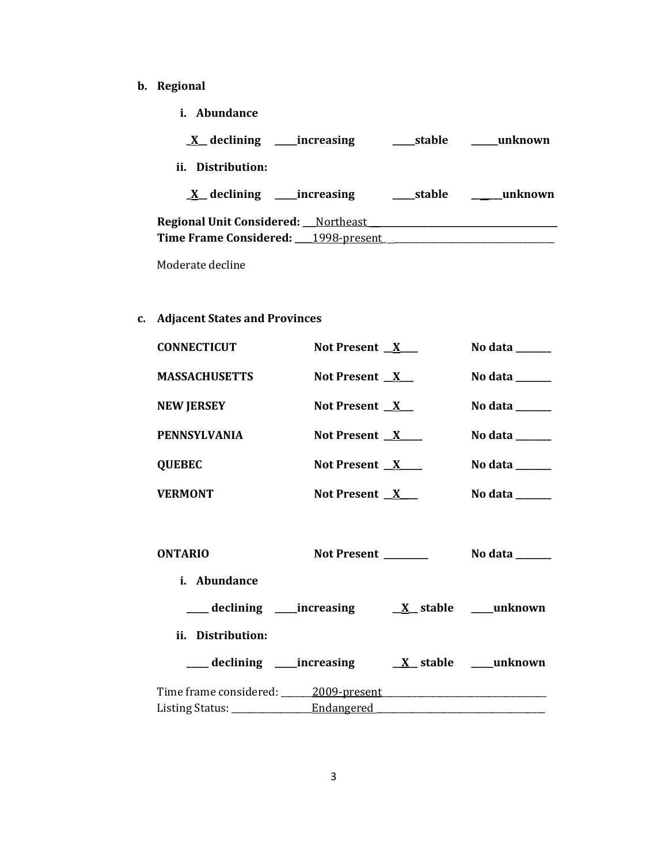- **b. Regional** 
	- **i. Abundance**

| $X$ declining<br>__increasing              | stable | unknown |
|--------------------------------------------|--------|---------|
| Distribution:<br>Ħ.                        |        |         |
| $X$ declining increasing                   | stable | unknown |
| <b>Regional Unit Considered:</b> Northeast |        |         |
| Time Frame Considered: 1998-present        |        |         |

Moderate decline

# **c. Adjacent States and Provinces**

| <b>CONNECTICUT</b>             | Not Present $X$     | No data $\_\_\_\_\_\_\_\_\_\_\_\_\$                                         |
|--------------------------------|---------------------|-----------------------------------------------------------------------------|
| <b>MASSACHUSETTS</b>           | Not Present $X$     | No data $\_\_\_\_\_\_\_\_\_\_\_\$                                           |
| <b>NEW JERSEY</b>              | Not Present $X$     | No data $\_\_\_\_\_\_\_\_\_\_\_\_$                                          |
| <b>PENNSYLVANIA</b>            | Not Present $X$     | No data $\_\_\_\_\_\_\_\_\_\_\_\$                                           |
| <b>QUEBEC</b>                  | Not Present $X$     | No data $\_\_\_\_\_\_\_\_\_\_\_\_$                                          |
| <b>VERMONT</b>                 | Not Present $X_{-}$ | No data $\_\_\_\_\_\_\_\_\_\_\_\$                                           |
| <b>ONTARIO</b>                 | Not Present ______  | No data $\frac{1}{\sqrt{1-\frac{1}{2}}\cdot\frac{1}{\sqrt{1-\frac{1}{2}}}}$ |
| i. Abundance                   |                     |                                                                             |
|                                |                     |                                                                             |
| ii. Distribution:              |                     |                                                                             |
| ____ declining ____ increasing |                     | $\underline{X}$ stable _____unknown                                         |
|                                |                     |                                                                             |
|                                |                     |                                                                             |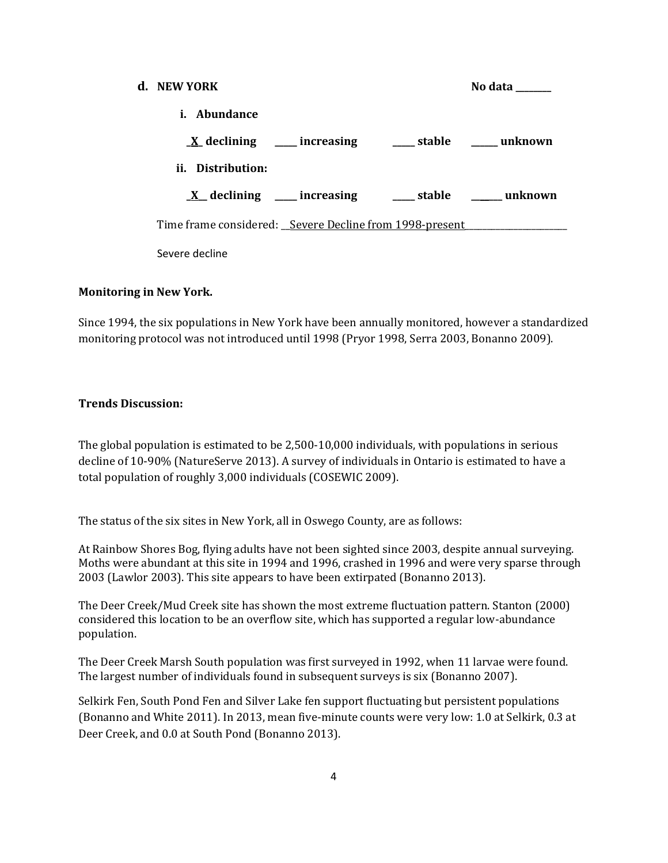| d. NEW YORK                                             | No data        |
|---------------------------------------------------------|----------------|
| i. Abundance                                            |                |
| $\underline{X}$ declining ______ increasing             | stable unknown |
| ii. Distribution:                                       |                |
| $X$ declining ____ increasing                           | stable unknown |
| Time frame considered: Severe Decline from 1998-present |                |
| Severe decline                                          |                |

#### **Monitoring in New York.**

Since 1994, the six populations in New York have been annually monitored, however a standardized monitoring protocol was not introduced until 1998 (Pryor 1998, Serra 2003, Bonanno 2009).

## **Trends Discussion:**

The global population is estimated to be 2,500-10,000 individuals, with populations in serious decline of 10-90% (NatureServe 2013). A survey of individuals in Ontario is estimated to have a total population of roughly 3,000 individuals (COSEWIC 2009).

The status of the six sites in New York, all in Oswego County, are as follows:

At Rainbow Shores Bog, flying adults have not been sighted since 2003, despite annual surveying. Moths were abundant at this site in 1994 and 1996, crashed in 1996 and were very sparse through 2003 (Lawlor 2003). This site appears to have been extirpated (Bonanno 2013).

The Deer Creek/Mud Creek site has shown the most extreme fluctuation pattern. Stanton (2000) considered this location to be an overflow site, which has supported a regular low-abundance population.

The Deer Creek Marsh South population was first surveyed in 1992, when 11 larvae were found. The largest number of individuals found in subsequent surveys is six (Bonanno 2007).

Selkirk Fen, South Pond Fen and Silver Lake fen support fluctuating but persistent populations (Bonanno and White 2011). In 2013, mean five-minute counts were very low: 1.0 at Selkirk, 0.3 at Deer Creek, and 0.0 at South Pond (Bonanno 2013).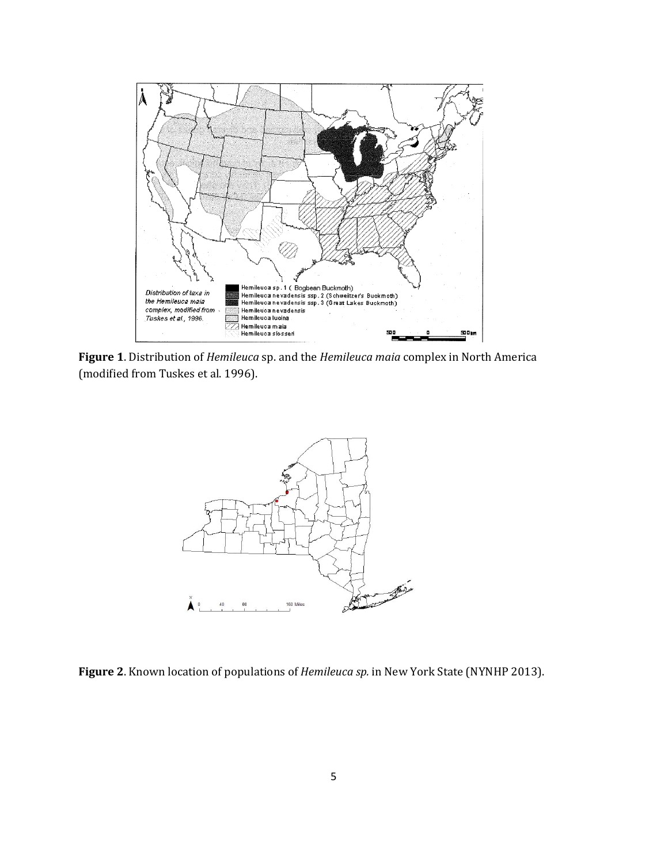

**Figure 1**. Distribution of *Hemileuca* sp. and the *Hemileuca maia* complex in North America (modified from Tuskes et al. 1996).



**Figure 2**. Known location of populations of *Hemileuca sp.* in New York State (NYNHP 2013).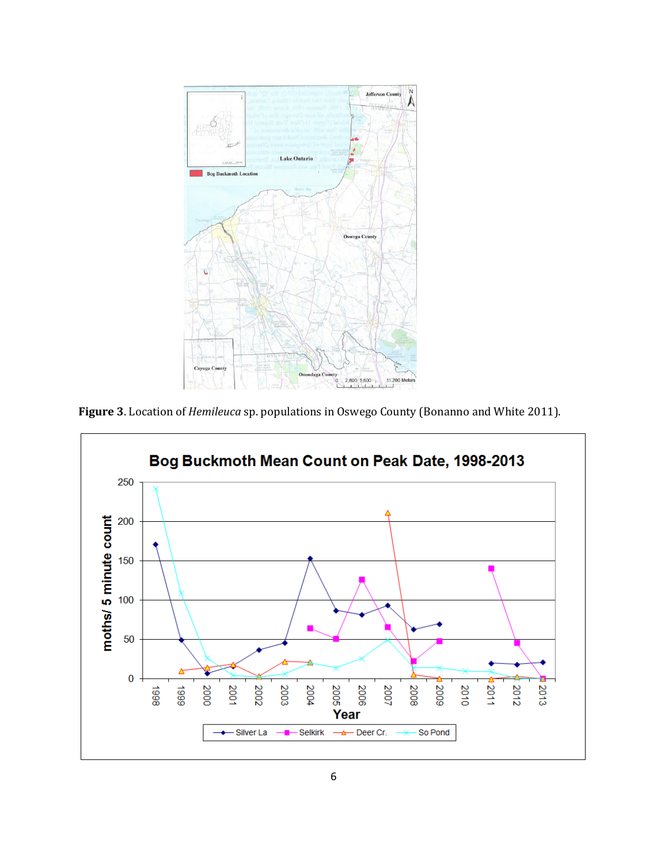

**Figure 3**. Location of *Hemileuca* sp. populations in Oswego County (Bonanno and White 2011).

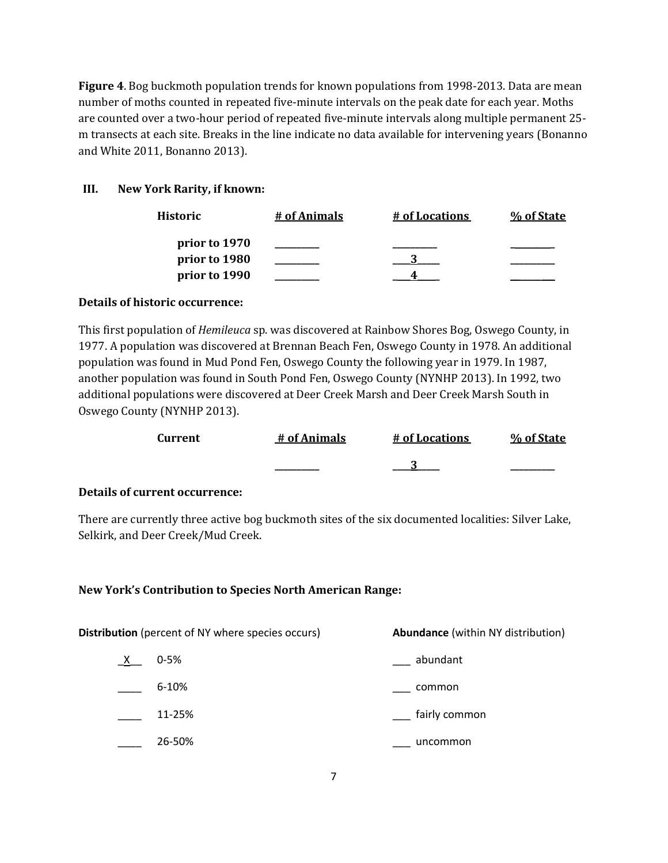**Figure 4**. Bog buckmoth population trends for known populations from 1998-2013. Data are mean number of moths counted in repeated five-minute intervals on the peak date for each year. Moths are counted over a two-hour period of repeated five-minute intervals along multiple permanent 25 m transects at each site. Breaks in the line indicate no data available for intervening years (Bonanno and White 2011, Bonanno 2013).

# **III. New York Rarity, if known:**

| Historic      | # of Animals | # of Locations | % of State |
|---------------|--------------|----------------|------------|
| prior to 1970 |              |                |            |
| prior to 1980 |              |                |            |
| prior to 1990 |              |                |            |

# **Details of historic occurrence:**

This first population of *Hemileuca* sp. was discovered at Rainbow Shores Bog, Oswego County, in 1977. A population was discovered at Brennan Beach Fen, Oswego County in 1978. An additional population was found in Mud Pond Fen, Oswego County the following year in 1979. In 1987, another population was found in South Pond Fen, Oswego County (NYNHP 2013). In 1992, two additional populations were discovered at Deer Creek Marsh and Deer Creek Marsh South in Oswego County (NYNHP 2013).

| Current | # of Animals | # of Locations | % of State |
|---------|--------------|----------------|------------|
|         | ________     | ◠              | _________  |

## **Details of current occurrence:**

There are currently three active bog buckmoth sites of the six documented localities: Silver Lake, Selkirk, and Deer Creek/Mud Creek.

## **New York's Contribution to Species North American Range:**

| <b>Distribution</b> (percent of NY where species occurs) | <b>Abundance</b> (within NY distribution) |  |
|----------------------------------------------------------|-------------------------------------------|--|
| $0 - 5%$<br>X                                            | abundant                                  |  |
| 6-10%                                                    | common                                    |  |
| 11-25%                                                   | fairly common                             |  |
| 26-50%                                                   | uncommon                                  |  |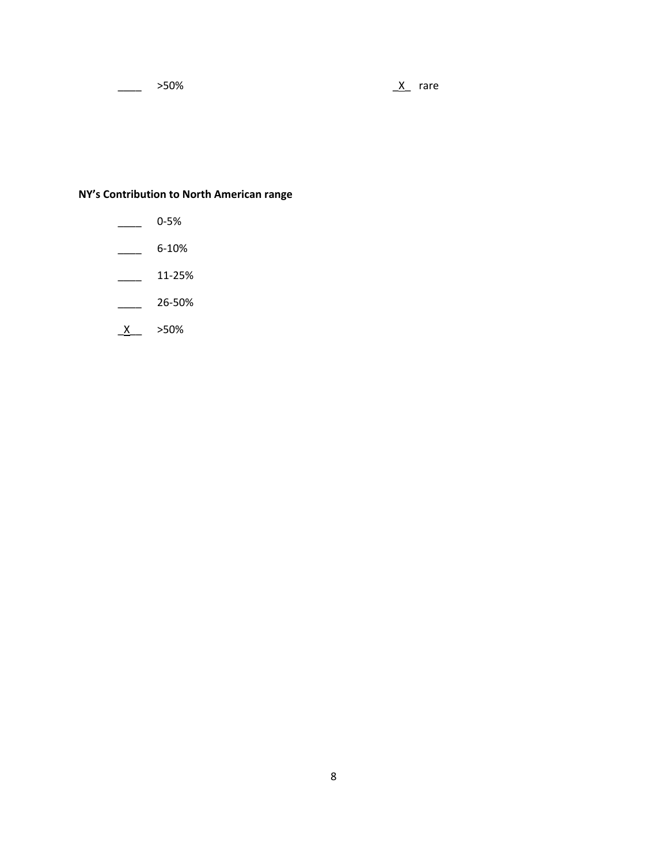$\frac{X}{X}$  rare

# **NY's Contribution to North American range**

- $\frac{1}{2}$  0-5%
- $\frac{6-10\%}{2}$
- $\frac{11-25\%}{2}$
- \_\_\_\_ 26-50%
- $X \longrightarrow 50\%$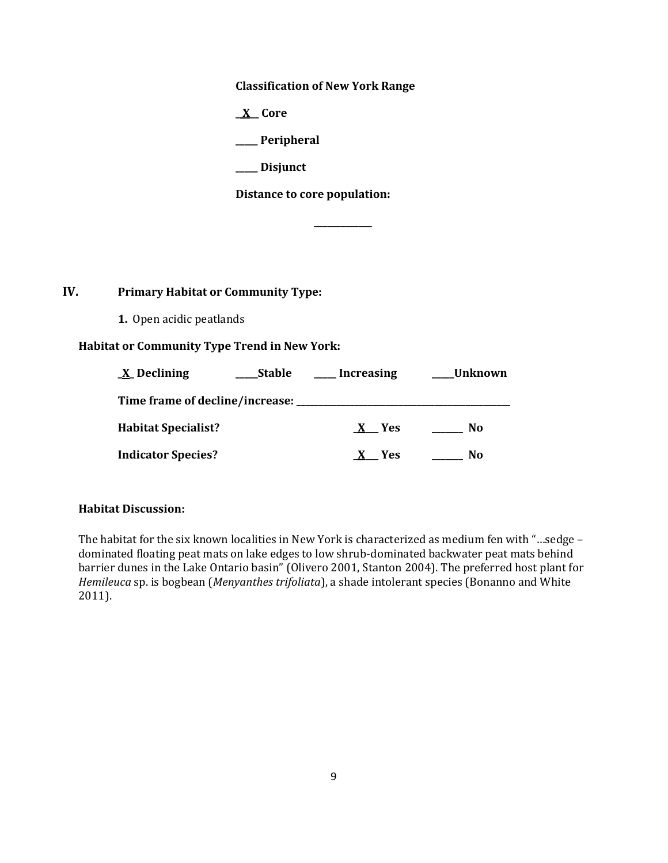**Classification of New York Range**

**\_ X\_\_ Core**

**\_\_\_\_\_ Peripheral**

**\_\_\_\_\_ Disjunct**

**Distance to core population:**

**\_\_\_\_\_\_\_\_\_\_\_\_\_**

# **IV. Primary Habitat or Community Type:**

**1.** Open acidic peatlands

## **Habitat or Community Type Trend in New York:**

| X Declining                       | <b>Stable</b> | Increasing | Unknown |
|-----------------------------------|---------------|------------|---------|
| Time frame of decline/increase: J |               |            |         |
| <b>Habitat Specialist?</b>        |               | Yes        | No.     |
| <b>Indicator Species?</b>         |               | <b>Yes</b> | No      |

#### **Habitat Discussion:**

The habitat for the six known localities in New York is characterized as medium fen with "…sedge – dominated floating peat mats on lake edges to low shrub-dominated backwater peat mats behind barrier dunes in the Lake Ontario basin" (Olivero 2001, Stanton 2004). The preferred host plant for *Hemileuca* sp. is bogbean (*Menyanthes trifoliata*), a shade intolerant species (Bonanno and White 2011).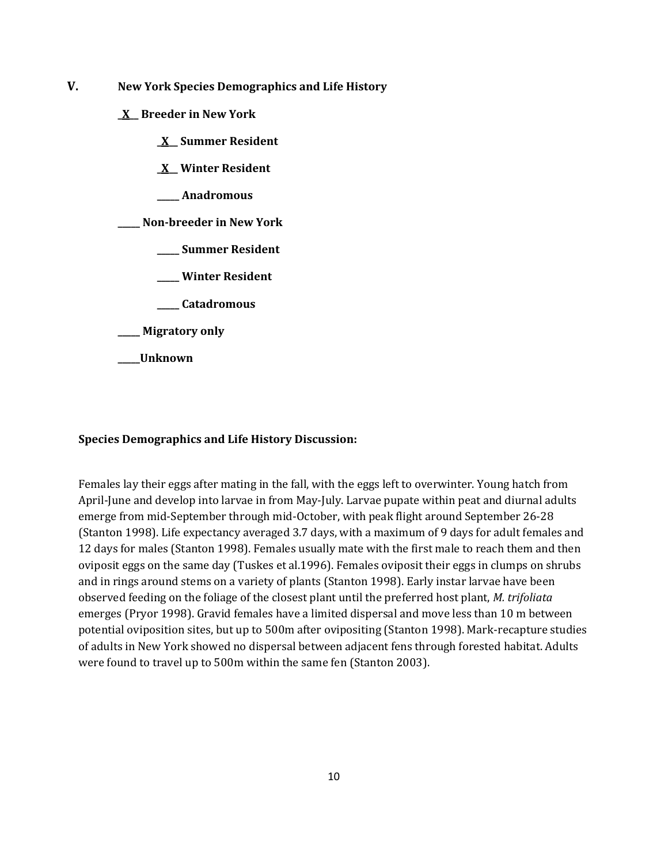- **V. New York Species Demographics and Life History**
	- **\_X\_\_ Breeder in New York**
		- **\_X\_\_ Summer Resident**
		- **\_X\_\_ Winter Resident**
		- **\_\_\_\_\_ Anadromous**

**\_\_\_\_\_ Non-breeder in New York**

- **\_\_\_\_\_ Summer Resident**
- **\_\_\_\_\_ Winter Resident**
- **\_\_\_\_\_ Catadromous**
- **\_\_\_\_\_ Migratory only**
- **\_\_\_\_\_Unknown**

#### **Species Demographics and Life History Discussion:**

Females lay their eggs after mating in the fall, with the eggs left to overwinter. Young hatch from April-June and develop into larvae in from May-July. Larvae pupate within peat and diurnal adults emerge from mid-September through mid-October, with peak flight around September 26-28 (Stanton 1998). Life expectancy averaged 3.7 days, with a maximum of 9 days for adult females and 12 days for males (Stanton 1998). Females usually mate with the first male to reach them and then oviposit eggs on the same day (Tuskes et al.1996). Females oviposit their eggs in clumps on shrubs and in rings around stems on a variety of plants (Stanton 1998). Early instar larvae have been observed feeding on the foliage of the closest plant until the preferred host plant, *M. trifoliata* emerges (Pryor 1998). Gravid females have a limited dispersal and move less than 10 m between potential oviposition sites, but up to 500m after ovipositing (Stanton 1998). Mark-recapture studies of adults in New York showed no dispersal between adjacent fens through forested habitat. Adults were found to travel up to 500m within the same fen (Stanton 2003).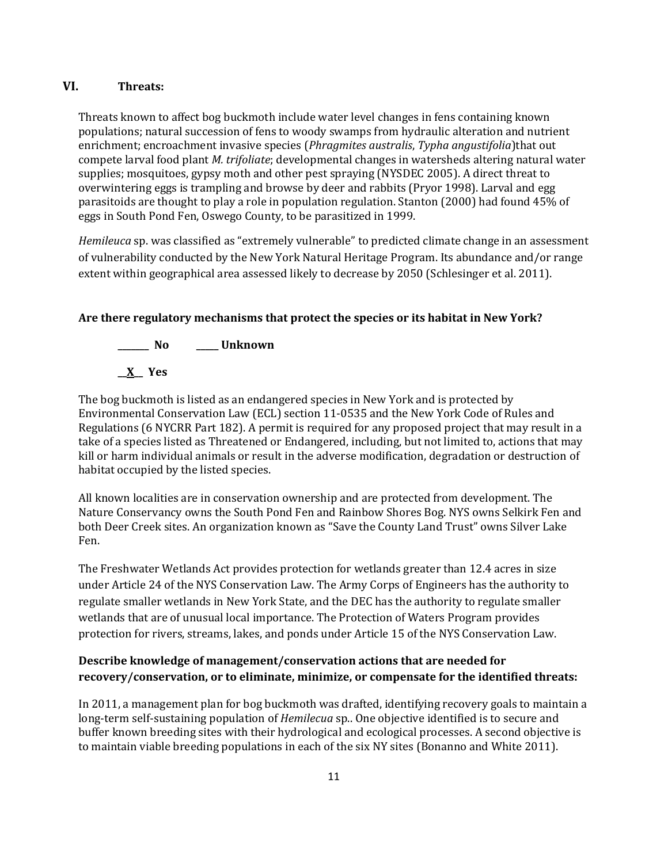# **VI. Threats:**

Threats known to affect bog buckmoth include water level changes in fens containing known populations; natural succession of fens to woody swamps from hydraulic alteration and nutrient enrichment; encroachment invasive species (*Phragmites australis*, *Typha angustifolia*)that out compete larval food plant *M. trifoliate*; developmental changes in watersheds altering natural water supplies; mosquitoes, gypsy moth and other pest spraying (NYSDEC 2005). A direct threat to overwintering eggs is trampling and browse by deer and rabbits (Pryor 1998). Larval and egg parasitoids are thought to play a role in population regulation. Stanton (2000) had found 45% of eggs in South Pond Fen, Oswego County, to be parasitized in 1999.

*Hemileuca* sp. was classified as "extremely vulnerable" to predicted climate change in an assessment of vulnerability conducted by the New York Natural Heritage Program. Its abundance and/or range extent within geographical area assessed likely to decrease by 2050 (Schlesinger et al. 2011).

# **Are there regulatory mechanisms that protect the species or its habitat in New York?**



The bog buckmoth is listed as an endangered species in New York and is protected by Environmental Conservation Law (ECL) section 11-0535 and the New York Code of Rules and Regulations (6 NYCRR Part 182). A permit is required for any proposed project that may result in a take of a species listed as Threatened or Endangered, including, but not limited to, actions that may kill or harm individual animals or result in the adverse modification, degradation or destruction of habitat occupied by the listed species.

All known localities are in conservation ownership and are protected from development. The Nature Conservancy owns the South Pond Fen and Rainbow Shores Bog. NYS owns Selkirk Fen and both Deer Creek sites. An organization known as "Save the County Land Trust" owns Silver Lake Fen.

The Freshwater Wetlands Act provides protection for wetlands greater than 12.4 acres in size under Article 24 of the NYS Conservation Law. The Army Corps of Engineers has the authority to regulate smaller wetlands in New York State, and the DEC has the authority to regulate smaller wetlands that are of unusual local importance. The Protection of Waters Program provides protection for rivers, streams, lakes, and ponds under Article 15 of the NYS Conservation Law.

# **Describe knowledge of management/conservation actions that are needed for recovery/conservation, or to eliminate, minimize, or compensate for the identified threats:**

In 2011, a management plan for bog buckmoth was drafted, identifying recovery goals to maintain a long-term self-sustaining population of *Hemilecua* sp.. One objective identified is to secure and buffer known breeding sites with their hydrological and ecological processes. A second objective is to maintain viable breeding populations in each of the six NY sites (Bonanno and White 2011).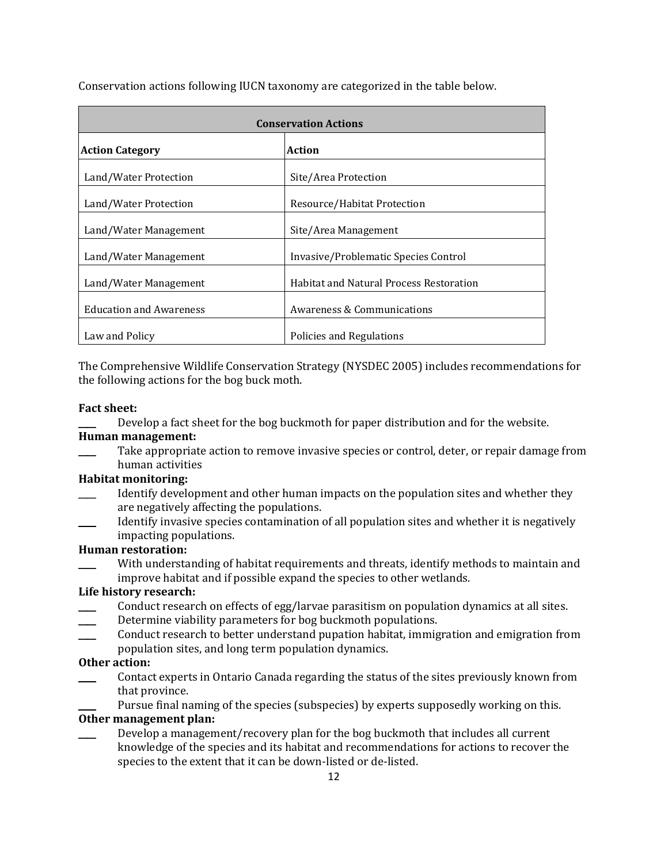| <b>Conservation Actions</b>    |                                                |  |
|--------------------------------|------------------------------------------------|--|
| <b>Action Category</b>         | Action                                         |  |
| Land/Water Protection          | Site/Area Protection                           |  |
| Land/Water Protection          | Resource/Habitat Protection                    |  |
| Land/Water Management          | Site/Area Management                           |  |
| Land/Water Management          | Invasive/Problematic Species Control           |  |
| Land/Water Management          | <b>Habitat and Natural Process Restoration</b> |  |
| <b>Education and Awareness</b> | Awareness & Communications                     |  |
| Law and Policy                 | Policies and Regulations                       |  |

Conservation actions following IUCN taxonomy are categorized in the table below.

The Comprehensive Wildlife Conservation Strategy (NYSDEC 2005) includes recommendations for the following actions for the bog buck moth.

#### **Fact sheet:**

Develop a fact sheet for the bog buckmoth for paper distribution and for the website. **Human management:**

Take appropriate action to remove invasive species or control, deter, or repair damage from human activities

# **Habitat monitoring:**

- Identify development and other human impacts on the population sites and whether they are negatively affecting the populations.
- Identify invasive species contamination of all population sites and whether it is negatively impacting populations.

#### **Human restoration:**

With understanding of habitat requirements and threats, identify methods to maintain and improve habitat and if possible expand the species to other wetlands.

#### **Life history research:**

- Conduct research on effects of egg/larvae parasitism on population dynamics at all sites.
- Determine viability parameters for bog buckmoth populations.
- Conduct research to better understand pupation habitat, immigration and emigration from population sites, and long term population dynamics.

#### **Other action:**

- Contact experts in Ontario Canada regarding the status of the sites previously known from that province.
	- Pursue final naming of the species (subspecies) by experts supposedly working on this.

## **Other management plan:**

Develop a management/recovery plan for the bog buckmoth that includes all current knowledge of the species and its habitat and recommendations for actions to recover the species to the extent that it can be down-listed or de-listed.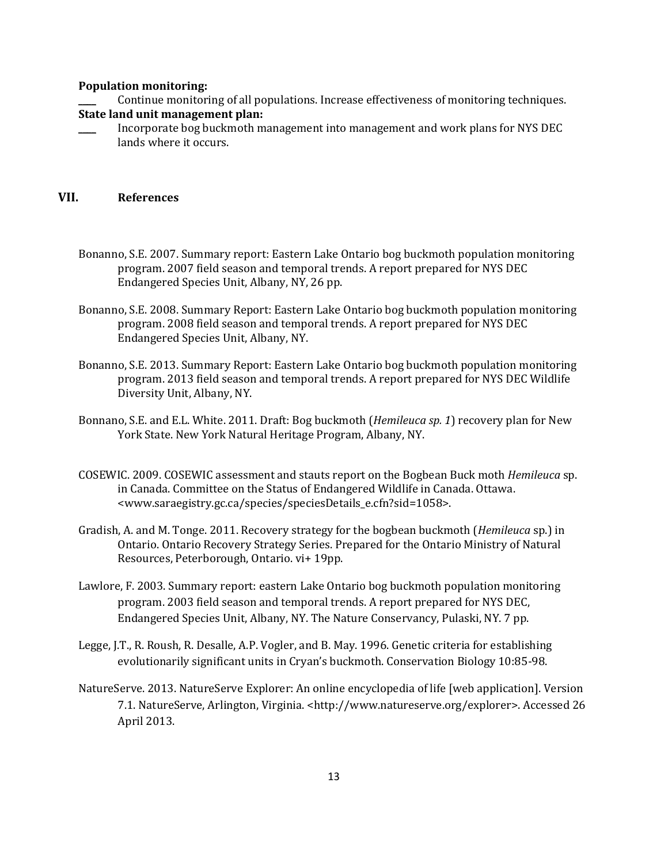#### **Population monitoring:**

- \_\_\_\_ Continue monitoring of all populations. Increase effectiveness of monitoring techniques. **State land unit management plan:**
- \_\_\_\_ Incorporate bog buckmoth management into management and work plans for NYS DEC lands where it occurs.

## **VII. References**

- Bonanno, S.E. 2007. Summary report: Eastern Lake Ontario bog buckmoth population monitoring program. 2007 field season and temporal trends. A report prepared for NYS DEC Endangered Species Unit, Albany, NY, 26 pp.
- Bonanno, S.E. 2008. Summary Report: Eastern Lake Ontario bog buckmoth population monitoring program. 2008 field season and temporal trends. A report prepared for NYS DEC Endangered Species Unit, Albany, NY.
- Bonanno, S.E. 2013. Summary Report: Eastern Lake Ontario bog buckmoth population monitoring program. 2013 field season and temporal trends. A report prepared for NYS DEC Wildlife Diversity Unit, Albany, NY.
- Bonnano, S.E. and E.L. White. 2011. Draft: Bog buckmoth (*Hemileuca sp. 1*) recovery plan for New York State. New York Natural Heritage Program, Albany, NY.
- COSEWIC. 2009. COSEWIC assessment and stauts report on the Bogbean Buck moth *Hemileuca* sp. in Canada. Committee on the Status of Endangered Wildlife in Canada. Ottawa. <www.saraegistry.gc.ca/species/speciesDetails\_e.cfn?sid=1058>.
- Gradish, A. and M. Tonge. 2011. Recovery strategy for the bogbean buckmoth (*Hemileuca* sp.) in Ontario. Ontario Recovery Strategy Series. Prepared for the Ontario Ministry of Natural Resources, Peterborough, Ontario. vi+ 19pp.
- Lawlore, F. 2003. Summary report: eastern Lake Ontario bog buckmoth population monitoring program. 2003 field season and temporal trends. A report prepared for NYS DEC, Endangered Species Unit, Albany, NY. The Nature Conservancy, Pulaski, NY. 7 pp.
- Legge, J.T., R. Roush, R. Desalle, A.P. Vogler, and B. May. 1996. Genetic criteria for establishing evolutionarily significant units in Cryan's buckmoth. Conservation Biology 10:85-98.
- NatureServe. 2013. NatureServe Explorer: An online encyclopedia of life [web application]. Version 7.1. NatureServe, Arlington, Virginia. <http://www.natureserve.org/explorer>. Accessed 26 April 2013.